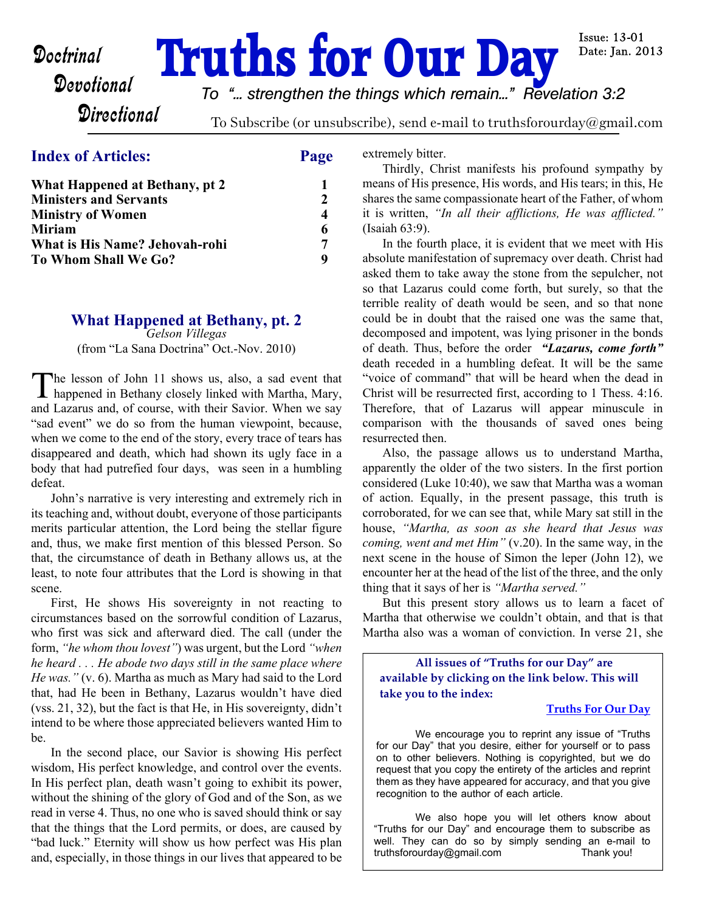# **Doctrinal Truths for Our Day**

**Issue: 13-01** Date: Jan. 2013

*To "... strengthen the things which remain..." Revelation 3:2*

**Directional** 

To Subscribe (or unsubscribe), send e-mail to truthsforourday@gmail.com

# **Index of Articles: Page**

| What Happened at Bethany, pt 2 |               |
|--------------------------------|---------------|
| <b>Ministers and Servants</b>  | $\mathcal{D}$ |
| Ministry of Women              | 4             |
| Miriam                         |               |
| What is His Name? Jehovah-rohi | 7             |
| To Whom Shall We Go?           |               |

# **What Happened at Bethany, pt. 2**

*Gelson Villegas* (from "La Sana Doctrina" Oct.-Nov. 2010)

The lesson of John 11 shows us, also, a sad event that<br>happened in Bethany closely linked with Martha, Mary, he lesson of John 11 shows us, also, a sad event that and Lazarus and, of course, with their Savior. When we say "sad event" we do so from the human viewpoint, because, when we come to the end of the story, every trace of tears has disappeared and death, which had shown its ugly face in a body that had putrefied four days, was seen in a humbling defeat.

 John's narrative is very interesting and extremely rich in its teaching and, without doubt, everyone of those participants merits particular attention, the Lord being the stellar figure and, thus, we make first mention of this blessed Person. So that, the circumstance of death in Bethany allows us, at the least, to note four attributes that the Lord is showing in that scene.

 First, He shows His sovereignty in not reacting to circumstances based on the sorrowful condition of Lazarus, who first was sick and afterward died. The call (under the form, *"he whom thou lovest"*) was urgent, but the Lord *"when he heard . . . He abode two days still in the same place where He was."* (v. 6). Martha as much as Mary had said to the Lord that, had He been in Bethany, Lazarus wouldn't have died (vss. 21, 32), but the fact is that He, in His sovereignty, didn't intend to be where those appreciated believers wanted Him to be.

 In the second place, our Savior is showing His perfect wisdom, His perfect knowledge, and control over the events. In His perfect plan, death wasn't going to exhibit its power, without the shining of the glory of God and of the Son, as we read in verse 4. Thus, no one who is saved should think or say that the things that the Lord permits, or does, are caused by "bad luck." Eternity will show us how perfect was His plan and, especially, in those things in our lives that appeared to be

extremely bitter.

 Thirdly, Christ manifests his profound sympathy by means of His presence, His words, and His tears; in this, He shares the same compassionate heart of the Father, of whom it is written, *"In all their afflictions, He was afflicted."* (Isaiah 63:9).

 In the fourth place, it is evident that we meet with His absolute manifestation of supremacy over death. Christ had asked them to take away the stone from the sepulcher, not so that Lazarus could come forth, but surely, so that the terrible reality of death would be seen, and so that none could be in doubt that the raised one was the same that, decomposed and impotent, was lying prisoner in the bonds of death. Thus, before the order *"Lazarus, come forth"* death receded in a humbling defeat. It will be the same "voice of command" that will be heard when the dead in Christ will be resurrected first, according to 1 Thess. 4:16. Therefore, that of Lazarus will appear minuscule in comparison with the thousands of saved ones being resurrected then.

 Also, the passage allows us to understand Martha, apparently the older of the two sisters. In the first portion considered (Luke 10:40), we saw that Martha was a woman of action. Equally, in the present passage, this truth is corroborated, for we can see that, while Mary sat still in the house, *"Martha, as soon as she heard that Jesus was coming, went and met Him"* (v.20). In the same way, in the next scene in the house of Simon the leper (John 12), we encounter her at the head of the list of the three, and the only thing that it says of her is *"Martha served."*

 But this present story allows us to learn a facet of Martha that otherwise we couldn't obtain, and that is that Martha also was a woman of conviction. In verse 21, she

**All issues of "Truths for our Day" are available by clicking on the link below. This will take you to the index:**

#### **[Truths For Our Day](http://truthsforourday.com)**

 We encourage you to reprint any issue of "Truths for our Day" that you desire, either for yourself or to pass on to other believers. Nothing is copyrighted, but we do request that you copy the entirety of the articles and reprint them as they have appeared for accuracy, and that you give recognition to the author of each article.

 We also hope you will let others know about "Truths for our Day" and encourage them to subscribe as well. They can do so by simply sending an e-mail to truthsforourday@gmail.com Thank you!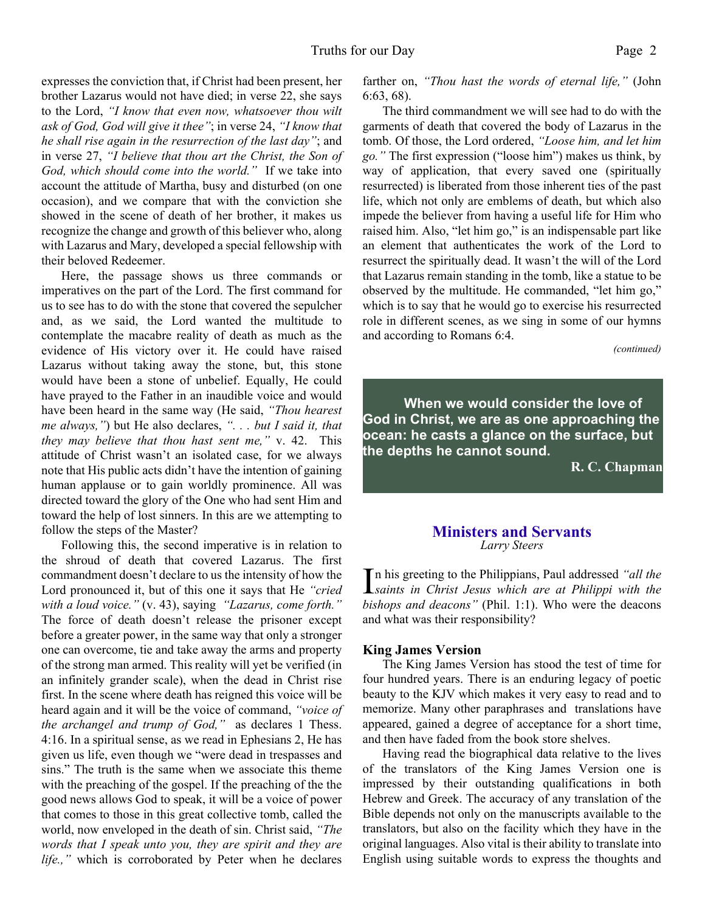expresses the conviction that, if Christ had been present, her brother Lazarus would not have died; in verse 22, she says to the Lord, *"I know that even now, whatsoever thou wilt ask of God, God will give it thee"*; in verse 24, *"I know that he shall rise again in the resurrection of the last day"*; and in verse 27, *"I believe that thou art the Christ, the Son of God, which should come into the world."* If we take into account the attitude of Martha, busy and disturbed (on one occasion), and we compare that with the conviction she showed in the scene of death of her brother, it makes us recognize the change and growth of this believer who, along with Lazarus and Mary, developed a special fellowship with their beloved Redeemer.

 Here, the passage shows us three commands or imperatives on the part of the Lord. The first command for us to see has to do with the stone that covered the sepulcher and, as we said, the Lord wanted the multitude to contemplate the macabre reality of death as much as the evidence of His victory over it. He could have raised Lazarus without taking away the stone, but, this stone would have been a stone of unbelief. Equally, He could have prayed to the Father in an inaudible voice and would have been heard in the same way (He said, *"Thou hearest me always,"*) but He also declares, *". . . but I said it, that they may believe that thou hast sent me,"* v. 42. This attitude of Christ wasn't an isolated case, for we always note that His public acts didn't have the intention of gaining human applause or to gain worldly prominence. All was directed toward the glory of the One who had sent Him and toward the help of lost sinners. In this are we attempting to follow the steps of the Master?

 Following this, the second imperative is in relation to the shroud of death that covered Lazarus. The first commandment doesn't declare to us the intensity of how the Lord pronounced it, but of this one it says that He *"cried with a loud voice."* (v. 43), saying *"Lazarus, come forth."* The force of death doesn't release the prisoner except before a greater power, in the same way that only a stronger one can overcome, tie and take away the arms and property of the strong man armed. This reality will yet be verified (in an infinitely grander scale), when the dead in Christ rise first. In the scene where death has reigned this voice will be heard again and it will be the voice of command, *"voice of the archangel and trump of God,"* as declares 1 Thess. 4:16. In a spiritual sense, as we read in Ephesians 2, He has given us life, even though we "were dead in trespasses and sins." The truth is the same when we associate this theme with the preaching of the gospel. If the preaching of the the good news allows God to speak, it will be a voice of power that comes to those in this great collective tomb, called the world, now enveloped in the death of sin. Christ said, *"The words that I speak unto you, they are spirit and they are life.,"* which is corroborated by Peter when he declares

farther on, *"Thou hast the words of eternal life,"* (John 6:63, 68).

 The third commandment we will see had to do with the garments of death that covered the body of Lazarus in the tomb. Of those, the Lord ordered, *"Loose him, and let him go."* The first expression ("loose him") makes us think, by way of application, that every saved one (spiritually resurrected) is liberated from those inherent ties of the past life, which not only are emblems of death, but which also impede the believer from having a useful life for Him who raised him. Also, "let him go," is an indispensable part like an element that authenticates the work of the Lord to resurrect the spiritually dead. It wasn't the will of the Lord that Lazarus remain standing in the tomb, like a statue to be observed by the multitude. He commanded, "let him go," which is to say that he would go to exercise his resurrected role in different scenes, as we sing in some of our hymns and according to Romans 6:4.

*(continued)*

**When we would consider the love of God in Christ, we are as one approaching the ocean: he casts a glance on the surface, but the depths he cannot sound.**

**R. C. Chapman**

#### **Ministers and Servants** *Larry Steers*

In his greeting to the Philippians, Paul addressed "all the<br> *saints in Christ Jesus which are at Philippi with the* n his greeting to the Philippians, Paul addressed *"all the bishops and deacons"* (Phil. 1:1). Who were the deacons and what was their responsibility?

#### **King James Version**

 The King James Version has stood the test of time for four hundred years. There is an enduring legacy of poetic beauty to the KJV which makes it very easy to read and to memorize. Many other paraphrases and translations have appeared, gained a degree of acceptance for a short time, and then have faded from the book store shelves.

 Having read the biographical data relative to the lives of the translators of the King James Version one is impressed by their outstanding qualifications in both Hebrew and Greek. The accuracy of any translation of the Bible depends not only on the manuscripts available to the translators, but also on the facility which they have in the original languages. Also vital is their ability to translate into English using suitable words to express the thoughts and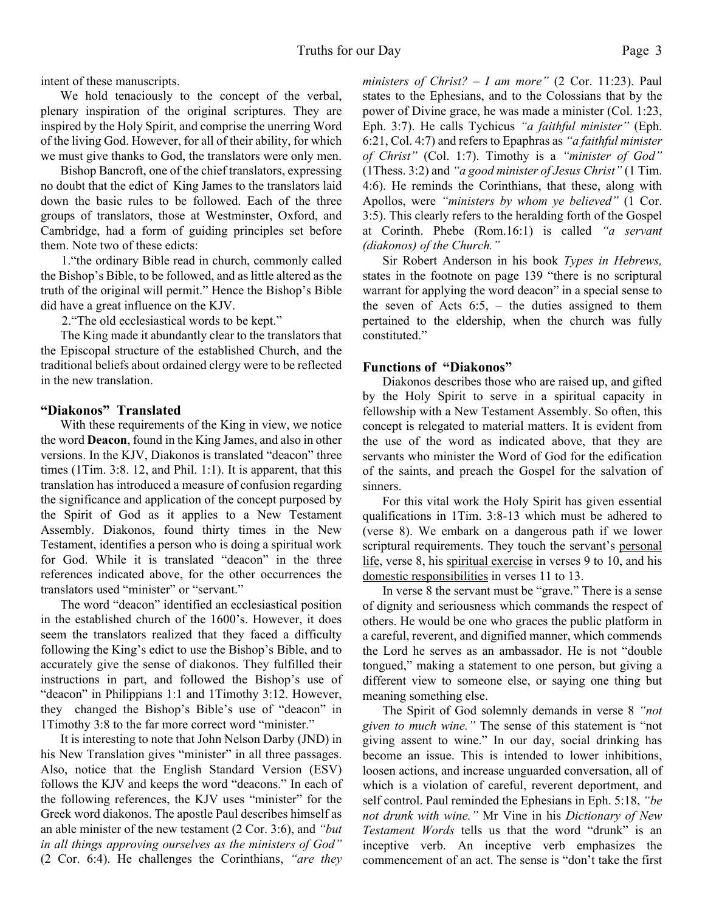intent of these manuscripts.

 We hold tenaciously to the concept of the verbal, plenary inspiration of the original scriptures. They are inspired by the Holy Spirit, and comprise the unerring Word of the living God. However, for all of their ability, for which we must give thanks to God, the translators were only men.

 Bishop Bancroft, one of the chief translators, expressing no doubt that the edict of King James to the translators laid down the basic rules to be followed. Each of the three groups of translators, those at Westminster, Oxford, and Cambridge, had a form of guiding principles set before them. Note two of these edicts:

1."the ordinary Bible read in church, commonly called the Bishop's Bible, to be followed, and as little altered as the truth of the original will permit." Hence the Bishop's Bible did have a great influence on the KJV.

2."The old ecclesiastical words to be kept."

The King made it abundantly clear to the translators that the Episcopal structure of the established Church, and the traditional beliefs about ordained clergy were to be reflected in the new translation.

#### **"Diakonos" Translated**

With these requirements of the King in view, we notice the word **Deacon**, found in the King James, and also in other versions. In the KJV, Diakonos is translated "deacon" three times (1Tim. 3:8. 12, and Phil. 1:1). It is apparent, that this translation has introduced a measure of confusion regarding the significance and application of the concept purposed by the Spirit of God as it applies to a New Testament Assembly. Diakonos, found thirty times in the New Testament, identifies a person who is doing a spiritual work for God. While it is translated "deacon" in the three references indicated above, for the other occurrences the translators used "minister" or "servant."

 The word "deacon" identified an ecclesiastical position in the established church of the 1600's. However, it does seem the translators realized that they faced a difficulty following the King's edict to use the Bishop's Bible, and to accurately give the sense of diakonos. They fulfilled their instructions in part, and followed the Bishop's use of "deacon" in Philippians 1:1 and 1Timothy 3:12. However, they changed the Bishop's Bible's use of "deacon" in 1Timothy 3:8 to the far more correct word "minister."

 It is interesting to note that John Nelson Darby (JND) in his New Translation gives "minister" in all three passages. Also, notice that the English Standard Version (ESV) follows the KJV and keeps the word "deacons." In each of the following references, the KJV uses "minister" for the Greek word diakonos. The apostle Paul describes himself as an able minister of the new testament (2 Cor. 3:6), and *"but in all things approving ourselves as the ministers of God"* (2 Cor. 6:4). He challenges the Corinthians, *"are they*

*ministers of Christ? – I am more"* (2 Cor. 11:23). Paul states to the Ephesians, and to the Colossians that by the power of Divine grace, he was made a minister (Col. 1:23, Eph. 3:7). He calls Tychicus *"a faithful minister"* (Eph. 6:21, Col. 4:7) and refers to Epaphras as *"a faithful minister of Christ"* (Col. 1:7). Timothy is a *"minister of God"* (1Thess. 3:2) and *"a good minister of Jesus Christ"* (1 Tim. 4:6). He reminds the Corinthians, that these, along with Apollos, were *"ministers by whom ye believed"* (1 Cor. 3:5). This clearly refers to the heralding forth of the Gospel at Corinth. Phebe (Rom.16:1) is called *"a servant (diakonos) of the Church."*

 Sir Robert Anderson in his book *Types in Hebrews,* states in the footnote on page 139 "there is no scriptural warrant for applying the word deacon" in a special sense to the seven of Acts  $6:5$ , – the duties assigned to them pertained to the eldership, when the church was fully constituted."

#### **Functions of "Diakonos"**

Diakonos describes those who are raised up, and gifted by the Holy Spirit to serve in a spiritual capacity in fellowship with a New Testament Assembly. So often, this concept is relegated to material matters. It is evident from the use of the word as indicated above, that they are servants who minister the Word of God for the edification of the saints, and preach the Gospel for the salvation of sinners.

 For this vital work the Holy Spirit has given essential qualifications in 1Tim. 3:8-13 which must be adhered to (verse 8). We embark on a dangerous path if we lower scriptural requirements. They touch the servant's personal life, verse 8, his spiritual exercise in verses 9 to 10, and his domestic responsibilities in verses 11 to 13.

 In verse 8 the servant must be "grave." There is a sense of dignity and seriousness which commands the respect of others. He would be one who graces the public platform in a careful, reverent, and dignified manner, which commends the Lord he serves as an ambassador. He is not "double tongued," making a statement to one person, but giving a different view to someone else, or saying one thing but meaning something else.

 The Spirit of God solemnly demands in verse 8 *"not given to much wine."* The sense of this statement is "not giving assent to wine." In our day, social drinking has become an issue. This is intended to lower inhibitions, loosen actions, and increase unguarded conversation, all of which is a violation of careful, reverent deportment, and self control. Paul reminded the Ephesians in Eph. 5:18, *"be not drunk with wine."* Mr Vine in his *Dictionary of New Testament Words* tells us that the word "drunk" is an inceptive verb. An inceptive verb emphasizes the commencement of an act. The sense is "don't take the first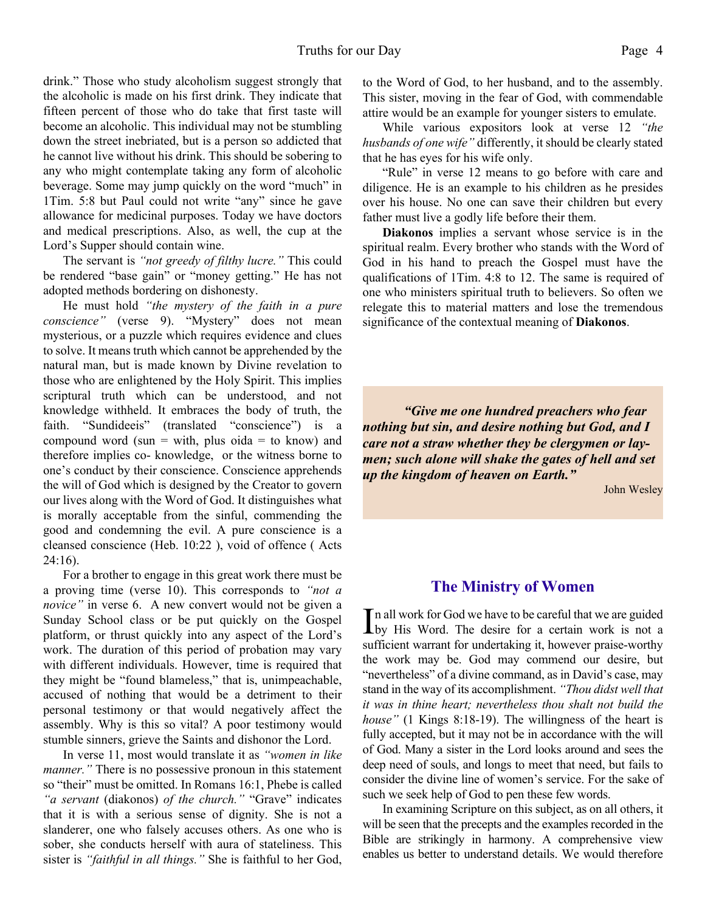drink." Those who study alcoholism suggest strongly that the alcoholic is made on his first drink. They indicate that fifteen percent of those who do take that first taste will become an alcoholic. This individual may not be stumbling down the street inebriated, but is a person so addicted that he cannot live without his drink. This should be sobering to any who might contemplate taking any form of alcoholic beverage. Some may jump quickly on the word "much" in 1Tim. 5:8 but Paul could not write "any" since he gave allowance for medicinal purposes. Today we have doctors and medical prescriptions. Also, as well, the cup at the Lord's Supper should contain wine.

 The servant is *"not greedy of filthy lucre."* This could be rendered "base gain" or "money getting." He has not adopted methods bordering on dishonesty.

 He must hold *"the mystery of the faith in a pure conscience"* (verse 9). "Mystery" does not mean mysterious, or a puzzle which requires evidence and clues to solve. It means truth which cannot be apprehended by the natural man, but is made known by Divine revelation to those who are enlightened by the Holy Spirit. This implies scriptural truth which can be understood, and not knowledge withheld. It embraces the body of truth, the faith. "Sundideeis" (translated "conscience") is a compound word (sun = with, plus oida = to know) and therefore implies co- knowledge, or the witness borne to one's conduct by their conscience. Conscience apprehends the will of God which is designed by the Creator to govern our lives along with the Word of God. It distinguishes what is morally acceptable from the sinful, commending the good and condemning the evil. A pure conscience is a cleansed conscience (Heb. 10:22 ), void of offence ( Acts  $24:16$ ).

 For a brother to engage in this great work there must be a proving time (verse 10). This corresponds to *"not a novice"* in verse 6. A new convert would not be given a Sunday School class or be put quickly on the Gospel platform, or thrust quickly into any aspect of the Lord's work. The duration of this period of probation may vary with different individuals. However, time is required that they might be "found blameless," that is, unimpeachable, accused of nothing that would be a detriment to their personal testimony or that would negatively affect the assembly. Why is this so vital? A poor testimony would stumble sinners, grieve the Saints and dishonor the Lord.

 In verse 11, most would translate it as *"women in like manner.*" There is no possessive pronoun in this statement so "their" must be omitted. In Romans 16:1, Phebe is called *"a servant* (diakonos) *of the church."* "Grave" indicates that it is with a serious sense of dignity. She is not a slanderer, one who falsely accuses others. As one who is sober, she conducts herself with aura of stateliness. This sister is *"faithful in all things."* She is faithful to her God, to the Word of God, to her husband, and to the assembly. This sister, moving in the fear of God, with commendable attire would be an example for younger sisters to emulate.

 While various expositors look at verse 12 *"the husbands of one wife"* differently, it should be clearly stated that he has eyes for his wife only.

 "Rule" in verse 12 means to go before with care and diligence. He is an example to his children as he presides over his house. No one can save their children but every father must live a godly life before their them.

**Diakonos** implies a servant whose service is in the spiritual realm. Every brother who stands with the Word of God in his hand to preach the Gospel must have the qualifications of 1Tim. 4:8 to 12. The same is required of one who ministers spiritual truth to believers. So often we relegate this to material matters and lose the tremendous significance of the contextual meaning of **Diakonos**.

*"Give me one hundred preachers who fear nothing but sin, and desire nothing but God, and I care not a straw whether they be clergymen or laymen; such alone will shake the gates of hell and set up the kingdom of heaven on Earth."*

John Wesley

### **The Ministry of Women**

In all work for God we have to be careful that we are guided<br>by His Word. The desire for a certain work is not a n all work for God we have to be careful that we are guided sufficient warrant for undertaking it, however praise-worthy the work may be. God may commend our desire, but "nevertheless" of a divine command, as in David's case, may stand in the way of its accomplishment. *"Thou didst well that it was in thine heart; nevertheless thou shalt not build the house"* (1 Kings 8:18-19). The willingness of the heart is fully accepted, but it may not be in accordance with the will of God. Many a sister in the Lord looks around and sees the deep need of souls, and longs to meet that need, but fails to consider the divine line of women's service. For the sake of such we seek help of God to pen these few words.

 In examining Scripture on this subject, as on all others, it will be seen that the precepts and the examples recorded in the Bible are strikingly in harmony. A comprehensive view enables us better to understand details. We would therefore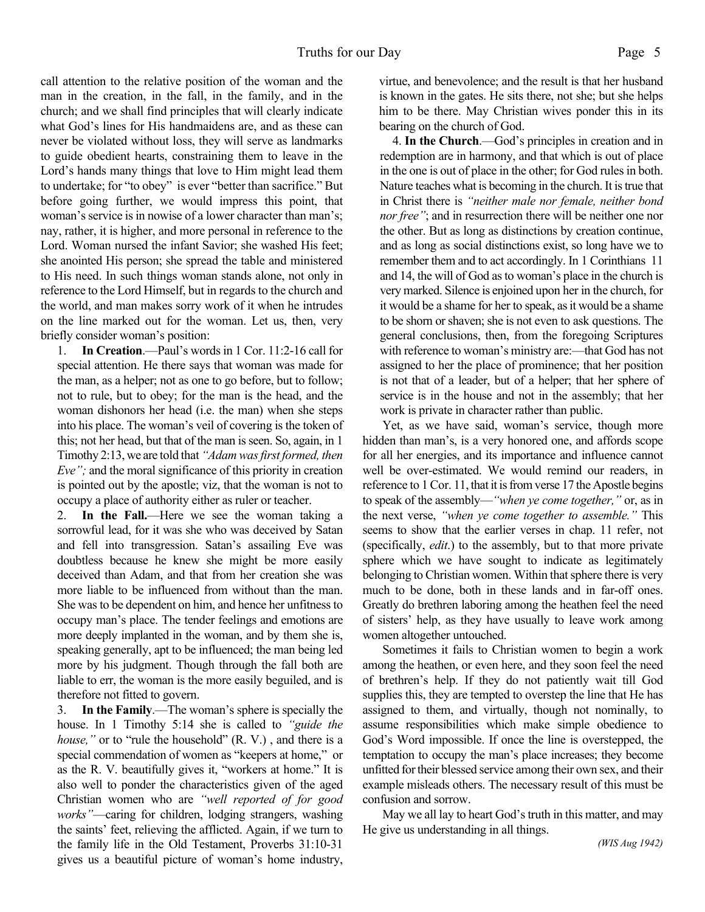call attention to the relative position of the woman and the man in the creation, in the fall, in the family, and in the church; and we shall find principles that will clearly indicate what God's lines for His handmaidens are, and as these can never be violated without loss, they will serve as landmarks to guide obedient hearts, constraining them to leave in the Lord's hands many things that love to Him might lead them to undertake; for "to obey" is ever "better than sacrifice." But before going further, we would impress this point, that woman's service is in nowise of a lower character than man's; nay, rather, it is higher, and more personal in reference to the Lord. Woman nursed the infant Savior; she washed His feet; she anointed His person; she spread the table and ministered to His need. In such things woman stands alone, not only in reference to the Lord Himself, but in regards to the church and the world, and man makes sorry work of it when he intrudes on the line marked out for the woman. Let us, then, very briefly consider woman's position:

1. **In Creation**.—Paul's words in 1 Cor. 11:2-16 call for special attention. He there says that woman was made for the man, as a helper; not as one to go before, but to follow; not to rule, but to obey; for the man is the head, and the woman dishonors her head (i.e. the man) when she steps into his place. The woman's veil of covering is the token of this; not her head, but that of the man is seen. So, again, in 1 Timothy 2:13, we are told that *"Adam was first formed, then Eve";* and the moral significance of this priority in creation is pointed out by the apostle; viz, that the woman is not to occupy a place of authority either as ruler or teacher.

2. **In the Fall.**—Here we see the woman taking a sorrowful lead, for it was she who was deceived by Satan and fell into transgression. Satan's assailing Eve was doubtless because he knew she might be more easily deceived than Adam, and that from her creation she was more liable to be influenced from without than the man. She was to be dependent on him, and hence her unfitness to occupy man's place. The tender feelings and emotions are more deeply implanted in the woman, and by them she is, speaking generally, apt to be influenced; the man being led more by his judgment. Though through the fall both are liable to err, the woman is the more easily beguiled, and is therefore not fitted to govern.

3. **In the Family**.—The woman's sphere is specially the house. In 1 Timothy 5:14 she is called to *"guide the house,*" or to "rule the household" (R. V.), and there is a special commendation of women as "keepers at home," or as the R. V. beautifully gives it, "workers at home." It is also well to ponder the characteristics given of the aged Christian women who are *"well reported of for good works"*—caring for children, lodging strangers, washing the saints' feet, relieving the afflicted. Again, if we turn to the family life in the Old Testament, Proverbs 31:10-31 gives us a beautiful picture of woman's home industry,

virtue, and benevolence; and the result is that her husband is known in the gates. He sits there, not she; but she helps him to be there. May Christian wives ponder this in its bearing on the church of God.

 4. **In the Church**.—God's principles in creation and in redemption are in harmony, and that which is out of place in the one is out of place in the other; for God rules in both. Nature teaches what is becoming in the church. It is true that in Christ there is *"neither male nor female, neither bond nor free"*; and in resurrection there will be neither one nor the other. But as long as distinctions by creation continue, and as long as social distinctions exist, so long have we to remember them and to act accordingly. In 1 Corinthians 11 and 14, the will of God as to woman's place in the church is very marked. Silence is enjoined upon her in the church, for it would be a shame for her to speak, as it would be a shame to be shorn or shaven; she is not even to ask questions. The general conclusions, then, from the foregoing Scriptures with reference to woman's ministry are:—that God has not assigned to her the place of prominence; that her position is not that of a leader, but of a helper; that her sphere of service is in the house and not in the assembly; that her work is private in character rather than public.

 Yet, as we have said, woman's service, though more hidden than man's, is a very honored one, and affords scope for all her energies, and its importance and influence cannot well be over-estimated. We would remind our readers, in reference to 1 Cor. 11, that it is from verse 17 the Apostle begins to speak of the assembly—*"when ye come together,"* or, as in the next verse, *"when ye come together to assemble."* This seems to show that the earlier verses in chap. 11 refer, not (specifically, *edit*.) to the assembly, but to that more private sphere which we have sought to indicate as legitimately belonging to Christian women. Within that sphere there is very much to be done, both in these lands and in far-off ones. Greatly do brethren laboring among the heathen feel the need of sisters' help, as they have usually to leave work among women altogether untouched.

 Sometimes it fails to Christian women to begin a work among the heathen, or even here, and they soon feel the need of brethren's help. If they do not patiently wait till God supplies this, they are tempted to overstep the line that He has assigned to them, and virtually, though not nominally, to assume responsibilities which make simple obedience to God's Word impossible. If once the line is overstepped, the temptation to occupy the man's place increases; they become unfitted for their blessed service among their own sex, and their example misleads others. The necessary result of this must be confusion and sorrow.

 May we all lay to heart God's truth in this matter, and may He give us understanding in all things.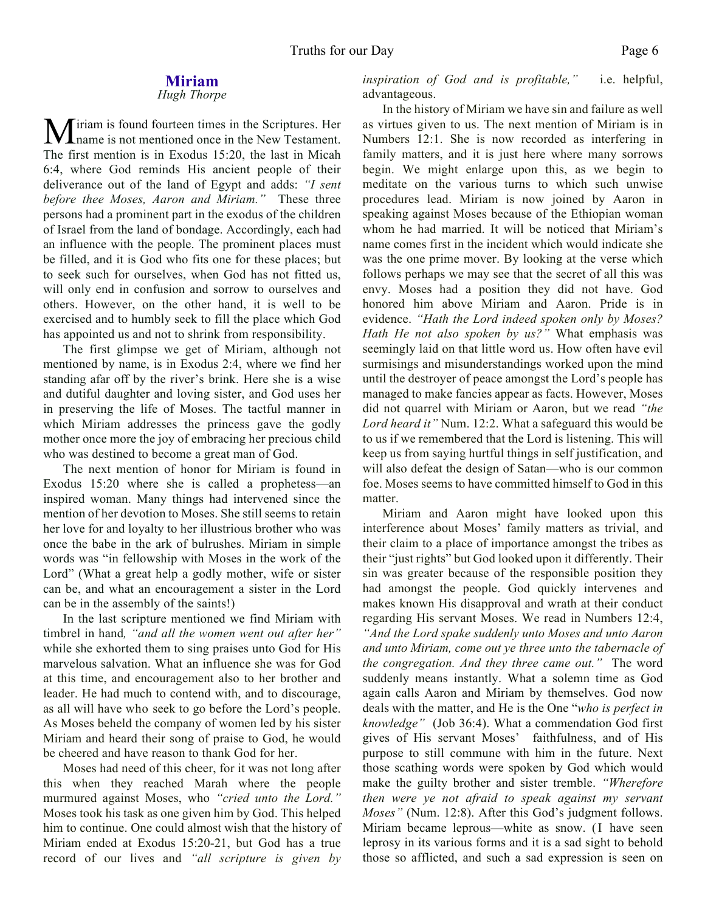#### **Miriam** *Hugh Thorpe*

Miriam is found fourteen times in the Scriptures. Her **L** name is not mentioned once in the New Testament. The first mention is in Exodus 15:20, the last in Micah 6:4, where God reminds His ancient people of their deliverance out of the land of Egypt and adds: *"I sent before thee Moses, Aaron and Miriam."* These three persons had a prominent part in the exodus of the children of Israel from the land of bondage. Accordingly, each had an influence with the people. The prominent places must be filled, and it is God who fits one for these places; but to seek such for ourselves, when God has not fitted us, will only end in confusion and sorrow to ourselves and others. However, on the other hand, it is well to be exercised and to humbly seek to fill the place which God has appointed us and not to shrink from responsibility.

The first glimpse we get of Miriam, although not mentioned by name, is in Exodus 2:4, where we find her standing afar off by the river's brink. Here she is a wise and dutiful daughter and loving sister, and God uses her in preserving the life of Moses. The tactful manner in which Miriam addresses the princess gave the godly mother once more the joy of embracing her precious child who was destined to become a great man of God.

The next mention of honor for Miriam is found in Exodus 15:20 where she is called a prophetess—an inspired woman. Many things had intervened since the mention of her devotion to Moses. She still seems to retain her love for and loyalty to her illustrious brother who was once the babe in the ark of bulrushes. Miriam in simple words was "in fellowship with Moses in the work of the Lord" (What a great help a godly mother, wife or sister can be, and what an encouragement a sister in the Lord can be in the assembly of the saints!)

In the last scripture mentioned we find Miriam with timbrel in hand*, "and all the women went out after her"* while she exhorted them to sing praises unto God for His marvelous salvation. What an influence she was for God at this time, and encouragement also to her brother and leader. He had much to contend with, and to discourage, as all will have who seek to go before the Lord's people. As Moses beheld the company of women led by his sister Miriam and heard their song of praise to God, he would be cheered and have reason to thank God for her.

Moses had need of this cheer, for it was not long after this when they reached Marah where the people murmured against Moses, who *"cried unto the Lord."* Moses took his task as one given him by God. This helped him to continue. One could almost wish that the history of Miriam ended at Exodus 15:20-21, but God has a true record of our lives and *"all scripture is given by*

*inspiration of God and is profitable,"* i.e. helpful, advantageous.

In the history of Miriam we have sin and failure as well as virtues given to us. The next mention of Miriam is in Numbers 12:1. She is now recorded as interfering in family matters, and it is just here where many sorrows begin. We might enlarge upon this, as we begin to meditate on the various turns to which such unwise procedures lead. Miriam is now joined by Aaron in speaking against Moses because of the Ethiopian woman whom he had married. It will be noticed that Miriam's name comes first in the incident which would indicate she was the one prime mover. By looking at the verse which follows perhaps we may see that the secret of all this was envy. Moses had a position they did not have. God honored him above Miriam and Aaron. Pride is in evidence. *"Hath the Lord indeed spoken only by Moses? Hath He not also spoken by us?"* What emphasis was seemingly laid on that little word us. How often have evil surmisings and misunderstandings worked upon the mind until the destroyer of peace amongst the Lord's people has managed to make fancies appear as facts. However, Moses did not quarrel with Miriam or Aaron, but we read *"the Lord heard it"* Num. 12:2. What a safeguard this would be to us if we remembered that the Lord is listening. This will keep us from saying hurtful things in self justification, and will also defeat the design of Satan—who is our common foe. Moses seems to have committed himself to God in this matter.

Miriam and Aaron might have looked upon this interference about Moses' family matters as trivial, and their claim to a place of importance amongst the tribes as their "just rights" but God looked upon it differently. Their sin was greater because of the responsible position they had amongst the people. God quickly intervenes and makes known His disapproval and wrath at their conduct regarding His servant Moses. We read in Numbers 12:4, *"And the Lord spake suddenly unto Moses and unto Aaron and unto Miriam, come out ye three unto the tabernacle of the congregation. And they three came out."* The word suddenly means instantly. What a solemn time as God again calls Aaron and Miriam by themselves. God now deals with the matter, and He is the One "*who is perfect in knowledge"* (Job 36:4). What a commendation God first gives of His servant Moses' faithfulness, and of His purpose to still commune with him in the future. Next those scathing words were spoken by God which would make the guilty brother and sister tremble. *"Wherefore then were ye not afraid to speak against my servant Moses"* (Num. 12:8). After this God's judgment follows. Miriam became leprous—white as snow. (I have seen leprosy in its various forms and it is a sad sight to behold those so afflicted, and such a sad expression is seen on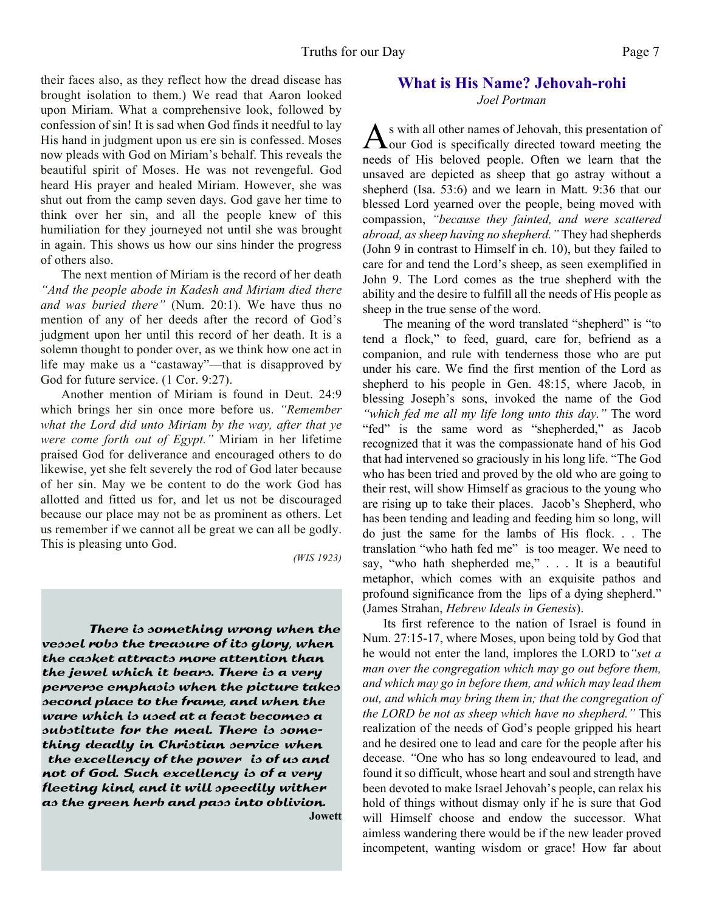their faces also, as they reflect how the dread disease has brought isolation to them.) We read that Aaron looked upon Miriam. What a comprehensive look, followed by confession of sin! It is sad when God finds it needful to lay His hand in judgment upon us ere sin is confessed. Moses now pleads with God on Miriam's behalf. This reveals the beautiful spirit of Moses. He was not revengeful. God heard His prayer and healed Miriam. However, she was shut out from the camp seven days. God gave her time to think over her sin, and all the people knew of this humiliation for they journeyed not until she was brought in again. This shows us how our sins hinder the progress of others also.

The next mention of Miriam is the record of her death *"And the people abode in Kadesh and Miriam died there and was buried there"* (Num. 20:1). We have thus no mention of any of her deeds after the record of God's judgment upon her until this record of her death. It is a solemn thought to ponder over, as we think how one act in life may make us a "castaway"—that is disapproved by God for future service. (1 Cor. 9:27).

Another mention of Miriam is found in Deut. 24:9 which brings her sin once more before us. *"Remember what the Lord did unto Miriam by the way, after that ye were come forth out of Egypt."* Miriam in her lifetime praised God for deliverance and encouraged others to do likewise, yet she felt severely the rod of God later because of her sin. May we be content to do the work God has allotted and fitted us for, and let us not be discouraged because our place may not be as prominent as others. Let us remember if we cannot all be great we can all be godly. This is pleasing unto God.

*(WIS 1923)*

 There is something wrong when the vessel robs the treasure of its glory, when the casket attracts more attention than the jewel which it bears. There is a very perverse emphasis when the picture takes second place to the frame, and when the ware which is used at a feast becomes a substitute for the meal. There is something deadly in Christian service when the excellency of the power is of us and not of God. Such excellency is of a very fleeting kind, and it will speedily wither as the green herb and pass into oblivion. **Jowett**

## **What is His Name? Jehovah-rohi** *Joel Portman*

 $A<sub>our</sub> God is specifically directed toward meeting the <sub>1</sub>$ s with all other names of Jehovah, this presentation of needs of His beloved people. Often we learn that the unsaved are depicted as sheep that go astray without a shepherd (Isa. 53:6) and we learn in Matt. 9:36 that our blessed Lord yearned over the people, being moved with compassion, *"because they fainted, and were scattered abroad, as sheep having no shepherd."* They had shepherds (John 9 in contrast to Himself in ch. 10), but they failed to care for and tend the Lord's sheep, as seen exemplified in John 9. The Lord comes as the true shepherd with the ability and the desire to fulfill all the needs of His people as sheep in the true sense of the word.

The meaning of the word translated "shepherd" is "to tend a flock," to feed, guard, care for, befriend as a companion, and rule with tenderness those who are put under his care. We find the first mention of the Lord as shepherd to his people in Gen. 48:15, where Jacob, in blessing Joseph's sons, invoked the name of the God *"which fed me all my life long unto this day."* The word "fed" is the same word as "shepherded," as Jacob recognized that it was the compassionate hand of his God that had intervened so graciously in his long life. "The God who has been tried and proved by the old who are going to their rest, will show Himself as gracious to the young who are rising up to take their places. Jacob's Shepherd, who has been tending and leading and feeding him so long, will do just the same for the lambs of His flock. . . The translation "who hath fed me" is too meager. We need to say, "who hath shepherded me," . . . It is a beautiful metaphor, which comes with an exquisite pathos and profound significance from the lips of a dying shepherd." (James Strahan, *Hebrew Ideals in Genesis*).

Its first reference to the nation of Israel is found in Num. 27:15-17, where Moses, upon being told by God that he would not enter the land, implores the LORD to*"set a man over the congregation which may go out before them, and which may go in before them, and which may lead them out, and which may bring them in; that the congregation of the LORD be not as sheep which have no shepherd."* This realization of the needs of God's people gripped his heart and he desired one to lead and care for the people after his decease. *"*One who has so long endeavoured to lead, and found it so difficult, whose heart and soul and strength have been devoted to make Israel Jehovah's people, can relax his hold of things without dismay only if he is sure that God will Himself choose and endow the successor. What aimless wandering there would be if the new leader proved incompetent, wanting wisdom or grace! How far about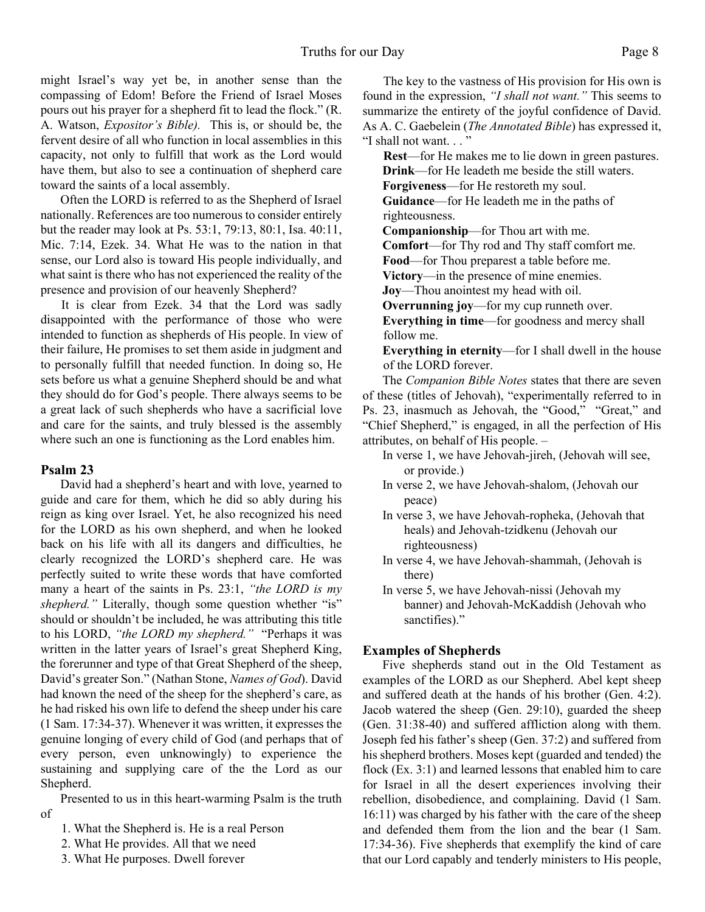might Israel's way yet be, in another sense than the compassing of Edom! Before the Friend of Israel Moses pours out his prayer for a shepherd fit to lead the flock." (R. A. Watson, *Expositor's Bible).* This is, or should be, the fervent desire of all who function in local assemblies in this capacity, not only to fulfill that work as the Lord would have them, but also to see a continuation of shepherd care toward the saints of a local assembly.

Often the LORD is referred to as the Shepherd of Israel nationally. References are too numerous to consider entirely but the reader may look at Ps. 53:1, 79:13, 80:1, Isa. 40:11, Mic. 7:14, Ezek. 34. What He was to the nation in that sense, our Lord also is toward His people individually, and what saint is there who has not experienced the reality of the presence and provision of our heavenly Shepherd?

It is clear from Ezek. 34 that the Lord was sadly disappointed with the performance of those who were intended to function as shepherds of His people. In view of their failure, He promises to set them aside in judgment and to personally fulfill that needed function. In doing so, He sets before us what a genuine Shepherd should be and what they should do for God's people. There always seems to be a great lack of such shepherds who have a sacrificial love and care for the saints, and truly blessed is the assembly where such an one is functioning as the Lord enables him.

#### **Psalm 23**

David had a shepherd's heart and with love, yearned to guide and care for them, which he did so ably during his reign as king over Israel. Yet, he also recognized his need for the LORD as his own shepherd, and when he looked back on his life with all its dangers and difficulties, he clearly recognized the LORD's shepherd care. He was perfectly suited to write these words that have comforted many a heart of the saints in Ps. 23:1, *"the LORD is my shepherd.*" Literally, though some question whether "is" should or shouldn't be included, he was attributing this title to his LORD, *"the LORD my shepherd."* "Perhaps it was written in the latter years of Israel's great Shepherd King, the forerunner and type of that Great Shepherd of the sheep, David's greater Son." (Nathan Stone, *Names of God*). David had known the need of the sheep for the shepherd's care, as he had risked his own life to defend the sheep under his care (1 Sam. 17:34-37). Whenever it was written, it expresses the genuine longing of every child of God (and perhaps that of every person, even unknowingly) to experience the sustaining and supplying care of the the Lord as our Shepherd.

 Presented to us in this heart-warming Psalm is the truth of

- 1. What the Shepherd is. He is a real Person
- 2. What He provides. All that we need
- 3. What He purposes. Dwell forever

The key to the vastness of His provision for His own is found in the expression, *"I shall not want."* This seems to summarize the entirety of the joyful confidence of David. As A. C. Gaebelein (*The Annotated Bible*) has expressed it, "I shall not want. . . "

**Rest**—for He makes me to lie down in green pastures. **Drink**—for He leadeth me beside the still waters. **Forgiveness**—for He restoreth my soul.

**Guidance**—for He leadeth me in the paths of righteousness.

**Companionship**—for Thou art with me.

**Comfort**—for Thy rod and Thy staff comfort me.

**Food**—for Thou preparest a table before me.

**Victory**—in the presence of mine enemies.

**Joy**—Thou anointest my head with oil.

**Overrunning joy**—for my cup runneth over.

**Everything in time**—for goodness and mercy shall follow me.

**Everything in eternity**—for I shall dwell in the house of the LORD forever.

The *Companion Bible Notes* states that there are seven of these (titles of Jehovah), "experimentally referred to in Ps. 23, inasmuch as Jehovah, the "Good," "Great," and "Chief Shepherd," is engaged, in all the perfection of His attributes, on behalf of His people. –

- In verse 1, we have Jehovah-jireh, (Jehovah will see, or provide.)
- In verse 2, we have Jehovah-shalom, (Jehovah our peace)
- In verse 3, we have Jehovah-ropheka, (Jehovah that heals) and Jehovah-tzidkenu (Jehovah our righteousness)
- In verse 4, we have Jehovah-shammah, (Jehovah is there)
- In verse 5, we have Jehovah-nissi (Jehovah my banner) and Jehovah-McKaddish (Jehovah who sanctifies)."

#### **Examples of Shepherds**

Five shepherds stand out in the Old Testament as examples of the LORD as our Shepherd. Abel kept sheep and suffered death at the hands of his brother (Gen. 4:2). Jacob watered the sheep (Gen. 29:10), guarded the sheep (Gen. 31:38-40) and suffered affliction along with them. Joseph fed his father's sheep (Gen. 37:2) and suffered from his shepherd brothers. Moses kept (guarded and tended) the flock (Ex. 3:1) and learned lessons that enabled him to care for Israel in all the desert experiences involving their rebellion, disobedience, and complaining. David (1 Sam. 16:11) was charged by his father with the care of the sheep and defended them from the lion and the bear (1 Sam. 17:34-36). Five shepherds that exemplify the kind of care that our Lord capably and tenderly ministers to His people,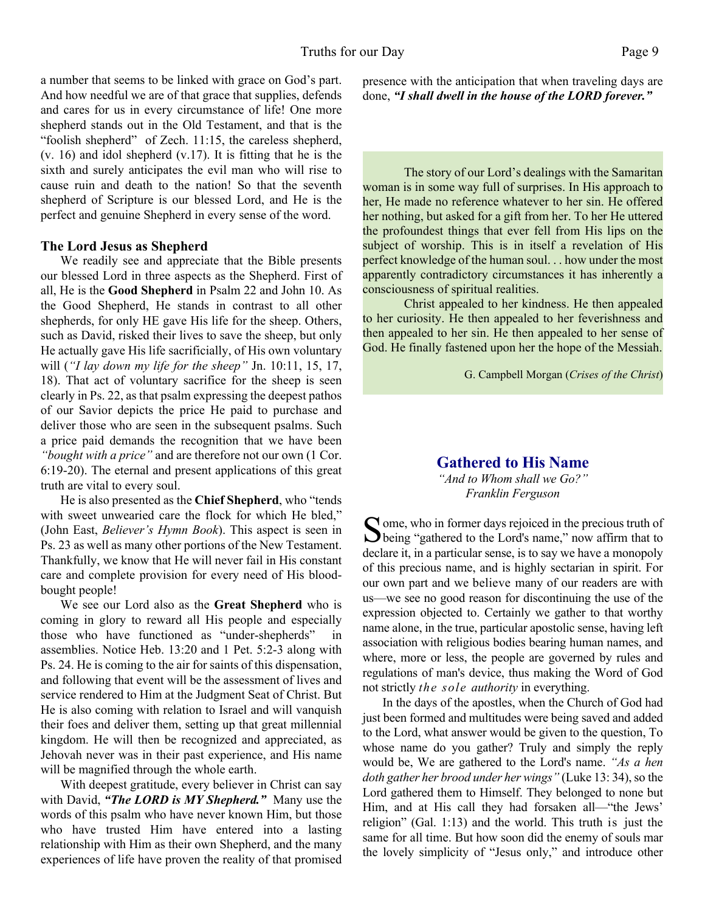a number that seems to be linked with grace on God's part. And how needful we are of that grace that supplies, defends and cares for us in every circumstance of life! One more shepherd stands out in the Old Testament, and that is the "foolish shepherd" of Zech. 11:15, the careless shepherd, (v. 16) and idol shepherd (v.17). It is fitting that he is the sixth and surely anticipates the evil man who will rise to cause ruin and death to the nation! So that the seventh shepherd of Scripture is our blessed Lord, and He is the perfect and genuine Shepherd in every sense of the word.

#### **The Lord Jesus as Shepherd**

We readily see and appreciate that the Bible presents our blessed Lord in three aspects as the Shepherd. First of all, He is the **Good Shepherd** in Psalm 22 and John 10. As the Good Shepherd, He stands in contrast to all other shepherds, for only HE gave His life for the sheep. Others, such as David, risked their lives to save the sheep, but only He actually gave His life sacrificially, of His own voluntary will (*"I lay down my life for the sheep"* Jn. 10:11, 15, 17, 18). That act of voluntary sacrifice for the sheep is seen clearly in Ps. 22, as that psalm expressing the deepest pathos of our Savior depicts the price He paid to purchase and deliver those who are seen in the subsequent psalms. Such a price paid demands the recognition that we have been *"bought with a price"* and are therefore not our own (1 Cor. 6:19-20). The eternal and present applications of this great truth are vital to every soul.

He is also presented as the **Chief Shepherd**, who "tends with sweet unwearied care the flock for which He bled," (John East, *Believer's Hymn Book*). This aspect is seen in Ps. 23 as well as many other portions of the New Testament. Thankfully, we know that He will never fail in His constant care and complete provision for every need of His bloodbought people!

We see our Lord also as the **Great Shepherd** who is coming in glory to reward all His people and especially those who have functioned as "under-shepherds" in assemblies. Notice Heb. 13:20 and 1 Pet. 5:2-3 along with Ps. 24. He is coming to the air for saints of this dispensation, and following that event will be the assessment of lives and service rendered to Him at the Judgment Seat of Christ. But He is also coming with relation to Israel and will vanquish their foes and deliver them, setting up that great millennial kingdom. He will then be recognized and appreciated, as Jehovah never was in their past experience, and His name will be magnified through the whole earth.

With deepest gratitude, every believer in Christ can say with David, *"The LORD is MY Shepherd."* Many use the words of this psalm who have never known Him, but those who have trusted Him have entered into a lasting relationship with Him as their own Shepherd, and the many experiences of life have proven the reality of that promised presence with the anticipation that when traveling days are done, *"I shall dwell in the house of the LORD forever."*

The story of our Lord's dealings with the Samaritan woman is in some way full of surprises. In His approach to her, He made no reference whatever to her sin. He offered her nothing, but asked for a gift from her. To her He uttered the profoundest things that ever fell from His lips on the subject of worship. This is in itself a revelation of His perfect knowledge of the human soul. . . how under the most apparently contradictory circumstances it has inherently a consciousness of spiritual realities.

Christ appealed to her kindness. He then appealed to her curiosity. He then appealed to her feverishness and then appealed to her sin. He then appealed to her sense of God. He finally fastened upon her the hope of the Messiah.

G. Campbell Morgan (*Crises of the Christ*)

### **Gathered to His Name**

*"And to Whom shall we Go?" Franklin Ferguson*

Some, who in former days rejoiced in the precious truth of<br>being "gathered to the Lord's name," now affirm that to  $\bigcap$  ome, who in former days rejoiced in the precious truth of declare it, in a particular sense, is to say we have a monopoly of this precious name, and is highly sectarian in spirit. For our own part and we believe many of our readers are with us—we see no good reason for discontinuing the use of the expression objected to. Certainly we gather to that worthy name alone, in the true, particular apostolic sense, having left association with religious bodies bearing human names, and where, more or less, the people are governed by rules and regulations of man's device, thus making the Word of God not strictly *the sole authority* in everything.

In the days of the apostles, when the Church of God had just been formed and multitudes were being saved and added to the Lord, what answer would be given to the question, To whose name do you gather? Truly and simply the reply would be, We are gathered to the Lord's name. *"As a hen doth gather her brood under her wings"* (Luke 13: 34), so the Lord gathered them to Himself. They belonged to none but Him, and at His call they had forsaken all—"the Jews' religion" (Gal. 1:13) and the world. This truth is just the same for all time. But how soon did the enemy of souls mar the lovely simplicity of "Jesus only," and introduce other